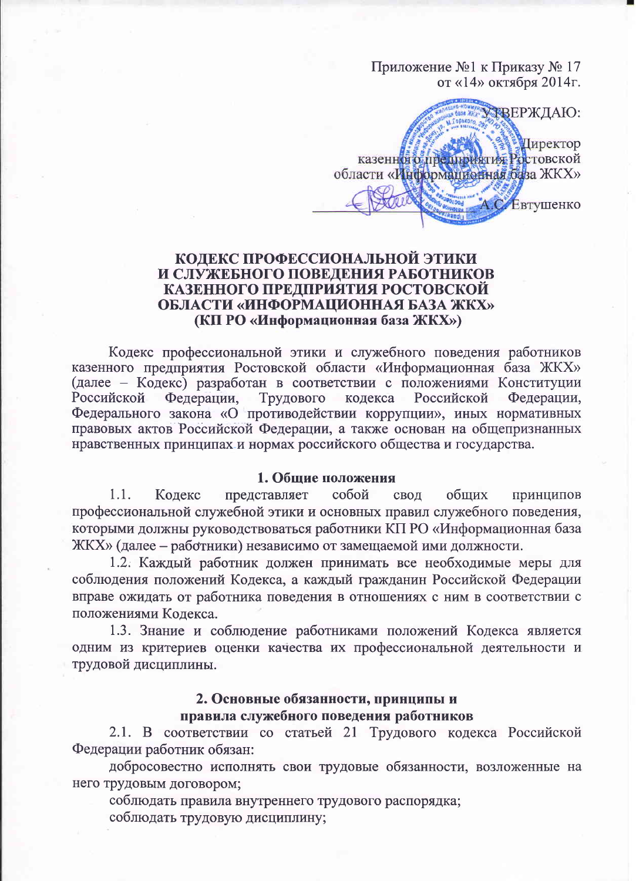Приложение №1 к Приказу № 17 от «14» октября 2014г.

FBEPЖЛАЮ: Директор казенної о предприятия Ростовской области «Информационная база ЖКХ» Евтушенко

## КОДЕКС ПРОФЕССИОНАЛЬНОЙ ЭТИКИ И СЛУЖЕБНОГО ПОВЕДЕНИЯ РАБОТНИКОВ КАЗЕННОГО ПРЕДПРИЯТИЯ РОСТОВСКОЙ ОБЛАСТИ «ИНФОРМАЦИОННАЯ БАЗА ЖКХ» (КП РО «Информационная база ЖКХ»)

Кодекс профессиональной этики и служебного поведения работников казенного предприятия Ростовской области «Информационная база ЖКХ» (далее – Кодекс) разработан в соответствии с положениями Конституции Российской Федерации, Трудового кодекса Российской Федерации, Федерального закона «О противодействии коррупции», иных нормативных правовых актов Российской Федерации, а также основан на общепризнанных нравственных принципах и нормах российского общества и государства.

## 1. Общие положения

принципов  $1.1.$ Колекс представляет собой свод общих профессиональной служебной этики и основных правил служебного поведения, которыми должны руководствоваться работники КП РО «Информационная база ЖКХ» (далее – работники) независимо от замещаемой ими должности.

1.2. Каждый работник должен принимать все необходимые меры для соблюдения положений Кодекса, а каждый гражданин Российской Федерации вправе ожидать от работника поведения в отношениях с ним в соответствии с положениями Кодекса.

1.3. Знание и соблюдение работниками положений Кодекса является одним из критериев оценки качества их профессиональной деятельности и трудовой дисциплины.

## 2. Основные обязанности, принципы и правила служебного поведения работников

2.1. В соответствии со статьей 21 Трудового кодекса Российской Федерации работник обязан:

добросовестно исполнять свои трудовые обязанности, возложенные на него трудовым договором;

соблюдать правила внутреннего трудового распорядка; соблюдать трудовую дисциплину;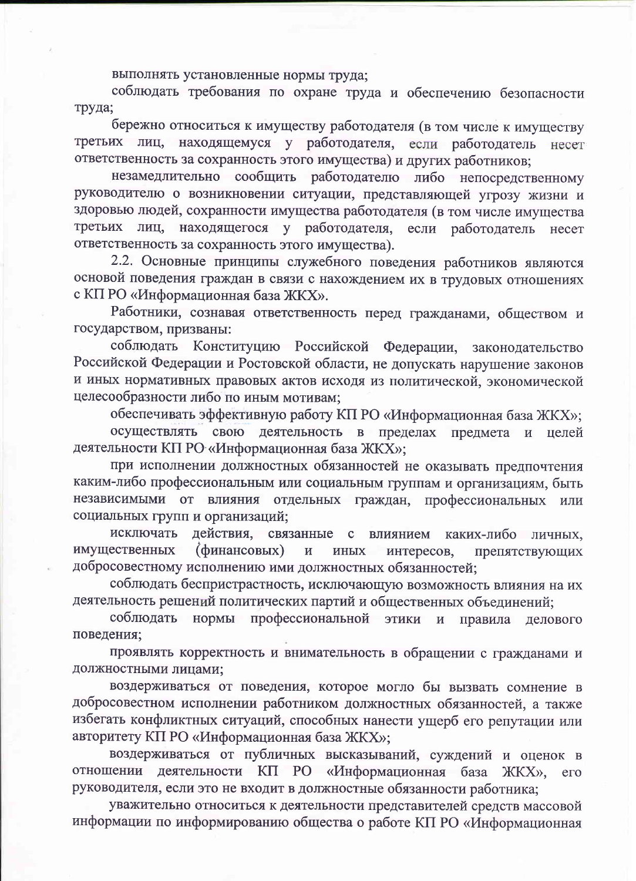выполнять установленные нормы труда;

соблюдать требования по охране труда и обеспечению безопасности труда;

бережно относиться к имуществу работодателя (в том числе к имуществу третьих лиц, находящемуся у работодателя, если работодатель несет ответственность за сохранность этого имущества) и других работников;

незамедлительно сообщить работодателю либо непосредственному руководителю о возникновении ситуации, представляющей угрозу жизни и здоровью людей, сохранности имущества работодателя (в том числе имущества третьих лиц, находящегося у работодателя. если работодатель несет ответственность за сохранность этого имущества).

2.2. Основные принципы служебного поведения работников являются основой поведения граждан в связи с нахождением их в трудовых отношениях с КП РО «Информационная база ЖКХ».

Работники, сознавая ответственность перед гражданами, обществом и государством, призваны:

соблюдать Конституцию Российской Федерации, законодательство Российской Федерации и Ростовской области, не допускать нарушение законов и иных нормативных правовых актов исходя из политической, экономической целесообразности либо по иным мотивам;

обеспечивать эффективную работу КП РО «Информационная база ЖКХ»; осуществлять свою деятельность в пределах предмета и целей деятельности КП РО «Информационная база ЖКХ»;

при исполнении должностных обязанностей не оказывать предпочтения каким-либо профессиональным или социальным группам и организациям, быть независимыми от влияния отдельных граждан, профессиональных или социальных групп и организаций;

действия, связанные с влиянием каких-либо личных, исключать имущественных (финансовых)  $\, {\bf N}$ **ИНЫХ** интересов, препятствующих добросовестному исполнению ими должностных обязанностей;

соблюдать беспристрастность, исключающую возможность влияния на их деятельность решений политических партий и общественных объединений;

соблюдать нормы профессиональной этики и правила делового поведения;

проявлять корректность и внимательность в обращении с гражданами и должностными лицами;

воздерживаться от поведения, которое могло бы вызвать сомнение в добросовестном исполнении работником должностных обязанностей, а также избегать конфликтных ситуаций, способных нанести ущерб его репутации или авторитету КП РО «Информационная база ЖКХ»;

воздерживаться от публичных высказываний, суждений и оценок в отношении деятельности КП РО «Информационная база ЖКХ»,  $ero$ руководителя, если это не входит в должностные обязанности работника;

уважительно относиться к деятельности представителей средств массовой информации по информированию общества о работе КП РО «Информационная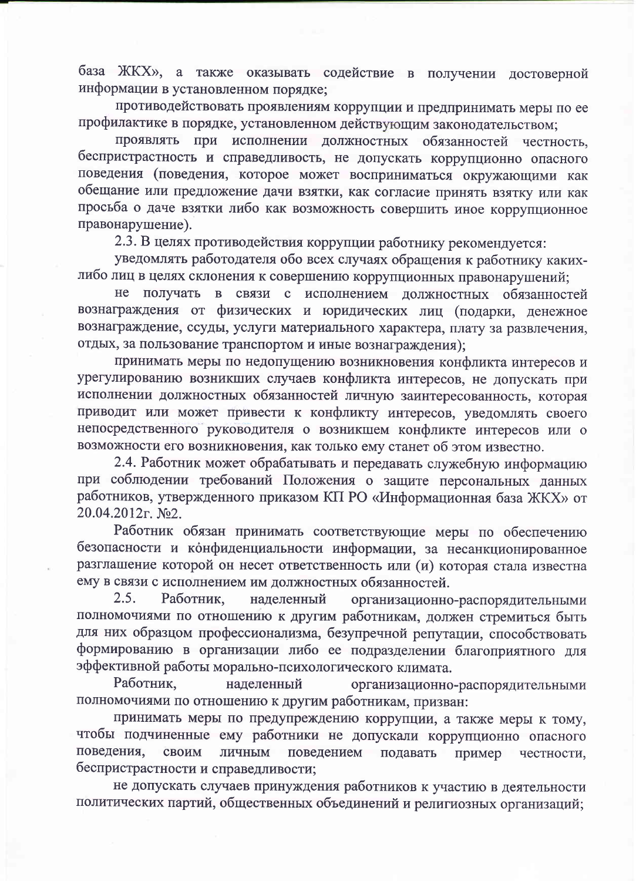база ЖКХ», а также оказывать содействие в получении достоверной информации в установленном порядке;

противодействовать проявлениям коррупции и предпринимать меры по ее профилактике в порядке, установленном действующим законодательством;

при исполнении должностных обязанностей честность, Проявлять беспристрастность и справедливость, не допускать коррупционно опасного поведения (поведения, которое может восприниматься окружающими как обещание или предложение дачи взятки, как согласие принять взятку или как просьба о даче взятки либо как возможность совершить иное коррупционное правонарушение).

2.3. В целях противодействия коррупции работнику рекомендуется:

уведомлять работодателя обо всех случаях обращения к работнику какихлибо лиц в целях склонения к совершению коррупционных правонарушений;

He получать в связи с исполнением должностных обязанностей вознаграждения от физических и юридических лиц (подарки, денежное вознаграждение, ссуды, услуги материального характера, плату за развлечения, отдых, за пользование транспортом и иные вознаграждения);

принимать меры по недопущению возникновения конфликта интересов и урегулированию возникших случаев конфликта интересов, не допускать при исполнении должностных обязанностей личную заинтересованность, которая приводит или может привести к конфликту интересов, уведомлять своего непосредственного руководителя о возникшем конфликте интересов или о возможности его возникновения, как только ему станет об этом известно.

2.4. Работник может обрабатывать и передавать служебную информацию при соблюдении требований Положения о защите персональных данных работников, утвержденного приказом КП РО «Информационная база ЖКХ» от 20.04.2012г. №2.

Работник обязан принимать соответствующие меры по обеспечению безопасности и конфиденциальности информации, за несанкционированное разглашение которой он несет ответственность или (и) которая стала известна ему в связи с исполнением им должностных обязанностей.

 $2.5.$ Работник, наделенный организационно-распорядительными полномочиями по отношению к другим работникам, должен стремиться быть для них образцом профессионализма, безупречной репутации, способствовать формированию в организации либо ее подразделении благоприятного для эффективной работы морально-психологического климата.

Работник, наделенный организационно-распорядительными полномочиями по отношению к другим работникам, призван:

принимать меры по предупреждению коррупции, а также меры к тому, чтобы подчиненные ему работники не допускали коррупционно опасного поведения, своим ЛИЧНЫМ поведением подавать пример честности, беспристрастности и справедливости;

не допускать случаев принуждения работников к участию в деятельности политических партий, общественных объединений и религиозных организаций;